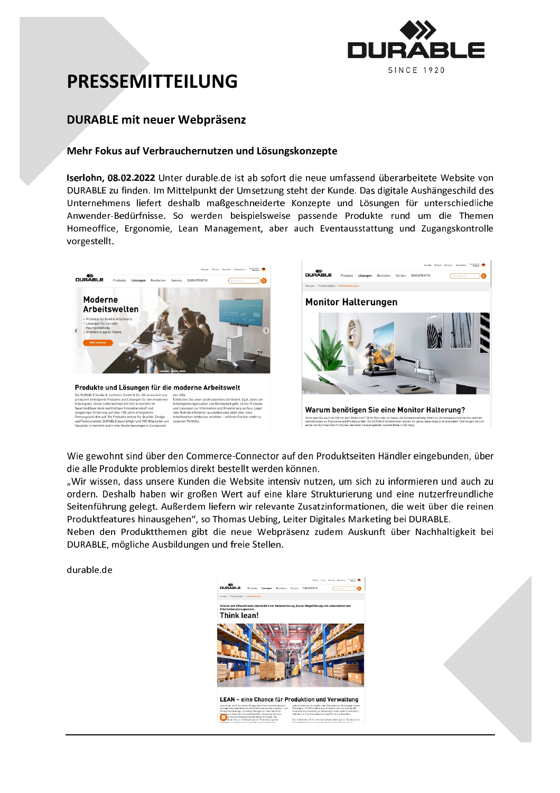

# **PRESSEMITTEILUNG**

### **DURABLE mit neuer Webpräsenz**

### Mehr Fokus auf Verbrauchernutzen und Lösungskonzepte

Iserlohn, 08.02.2022 Unter durable.de ist ab sofort die neue umfassend überarbeitete Website von DURABLE zu finden. Im Mittelpunkt der Umsetzung steht der Kunde. Das digitale Aushängeschild des Unternehmens liefert deshalb maßgeschneiderte Konzepte und Lösungen für unterschiedliche Anwender-Bedürfnisse. So werden beispielsweise passende Produkte rund um die Themen Homeoffice, Ergonomie, Lean Management, aber auch Eventausstattung und Zugangskontrolle vorgestellt.



Wie gewohnt sind über den Commerce-Connector auf den Produktseiten Händler eingebunden, über die alle Produkte problemlos direkt bestellt werden können.

"Wir wissen, dass unsere Kunden die Website intensiv nutzen, um sich zu informieren und auch zu ordern. Deshalb haben wir großen Wert auf eine klare Strukturierung und eine nutzerfreundliche Seitenführung gelegt. Außerdem liefern wir relevante Zusatzinformationen, die weit über die reinen Produktfeatures hinausgehen", so Thomas Uebing, Leiter Digitales Marketing bei DURABLE.

Neben den Produktthemen gibt die neue Webpräsenz zudem Auskunft über Nachhaltigkeit bei DURABLE, mögliche Ausbildungen und freie Stellen.

durable.de